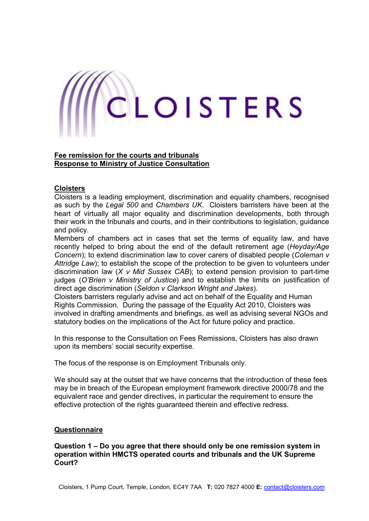# CLOISTERS

## **Fee remission for the courts and tribunals Response to Ministry of Justice Consultation**

## **Cloisters**

Cloisters is a leading employment, discrimination and equality chambers, recognised as such by the *Legal 500* and *Chambers UK*. Cloisters barristers have been at the heart of virtually all major equality and discrimination developments, both through their work in the tribunals and courts, and in their contributions to legislation, guidance and policy.

Members of chambers act in cases that set the terms of equality law, and have recently helped to bring about the end of the default retirement age (*Heyday/Age Concern*); to extend discrimination law to cover carers of disabled people (*Coleman v Attridge Law*); to establish the scope of the protection to be given to volunteers under discrimination law (*X v Mid Sussex CAB*); to extend pension provision to part-time judges (*O'Brien v Ministry of Justice*) and to establish the limits on justification of direct age discrimination (*Seldon v Clarkson Wright and Jakes*).

Cloisters barristers regularly advise and act on behalf of the Equality and Human Rights Commission. During the passage of the Equality Act 2010, Cloisters was involved in drafting amendments and briefings, as well as advising several NGOs and statutory bodies on the implications of the Act for future policy and practice.

In this response to the Consultation on Fees Remissions, Cloisters has also drawn upon its members' social security expertise.

The focus of the response is on Employment Tribunals only.

We should say at the outset that we have concerns that the introduction of these fees may be in breach of the European employment framework directive 2000/78 and the equivalent race and gender directives, in particular the requirement to ensure the effective protection of the rights guaranteed therein and effective redress.

## **Questionnaire**

**Question 1 – Do you agree that there should only be one remission system in operation within HMCTS operated courts and tribunals and the UK Supreme Court?**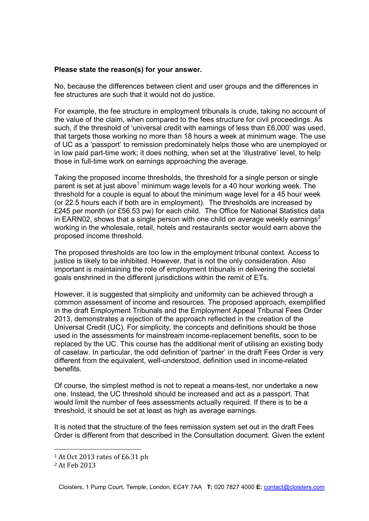## **Please state the reason(s) for your answer.**

No, because the differences between client and user groups and the differences in fee structures are such that it would not do justice.

For example, the fee structure in employment tribunals is crude, taking no account of the value of the claim, when compared to the fees structure for civil proceedings. As such, if the threshold of 'universal credit with earnings of less than £6,000' was used, that targets those working no more than 18 hours a week at minimum wage. The use of UC as a 'passport' to remission predominately helps those who are unemployed or in low paid part-time work; it does nothing, when set at the 'illustrative' level, to help those in full-time work on earnings approaching the average.

Taking the proposed income thresholds, the threshold for a single person or single parent is set at just above<sup>1</sup> minimum wage levels for a 40 hour working week. The threshold for a couple is equal to about the minimum wage level for a 45 hour week (or 22.5 hours each if both are in employment). The thresholds are increased by £245 per month (or £56.53 pw) for each child. The Office for National Statistics data in EARN02, shows that a single person with one child on average weekly earnings<sup>2</sup> working in the wholesale, retail, hotels and restaurants sector would earn above the proposed income threshold.

The proposed thresholds are too low in the employment tribunal context. Access to justice is likely to be inhibited. However, that is not the only consideration. Also important is maintaining the role of employment tribunals in delivering the societal goals enshrined in the different jurisdictions within the remit of ETs.

However, it is suggested that simplicity and uniformity can be achieved through a common assessment of income and resources. The proposed approach, exemplified in the draft Employment Tribunals and the Employment Appeal Tribunal Fees Order 2013, demonstrates a rejection of the approach reflected in the creation of the Universal Credit (UC). For simplicity, the concepts and definitions should be those used in the assessments for mainstream income-replacement benefits, soon to be replaced by the UC. This course has the additional merit of utilising an existing body of caselaw. In particular, the odd definition of 'partner' in the draft Fees Order is very different from the equivalent, well-understood, definition used in income-related benefits.

Of course, the simplest method is not to repeat a means-test, nor undertake a new one. Instead, the UC threshold should be increased and act as a passport. That would limit the number of fees assessments actually required. If there is to be a threshold, it should be set at least as high as average earnings.

It is noted that the structure of the fees remission system set out in the draft Fees Order is different from that described in the Consultation document. Given the extent

<u>.</u>

<sup>1</sup> At Oct 2013 rates of £6.31 ph

<sup>2</sup> At Feb 2013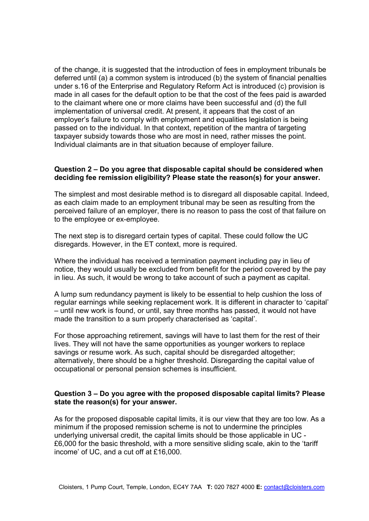of the change, it is suggested that the introduction of fees in employment tribunals be deferred until (a) a common system is introduced (b) the system of financial penalties under s.16 of the Enterprise and Regulatory Reform Act is introduced (c) provision is made in all cases for the default option to be that the cost of the fees paid is awarded to the claimant where one or more claims have been successful and (d) the full implementation of universal credit. At present, it appears that the cost of an employer's failure to comply with employment and equalities legislation is being passed on to the individual. In that context, repetition of the mantra of targeting taxpayer subsidy towards those who are most in need, rather misses the point. Individual claimants are in that situation because of employer failure.

## **Question 2 – Do you agree that disposable capital should be considered when deciding fee remission eligibility? Please state the reason(s) for your answer.**

The simplest and most desirable method is to disregard all disposable capital. Indeed, as each claim made to an employment tribunal may be seen as resulting from the perceived failure of an employer, there is no reason to pass the cost of that failure on to the employee or ex-employee.

The next step is to disregard certain types of capital. These could follow the UC disregards. However, in the ET context, more is required.

Where the individual has received a termination payment including pay in lieu of notice, they would usually be excluded from benefit for the period covered by the pay in lieu. As such, it would be wrong to take account of such a payment as capital.

A lump sum redundancy payment is likely to be essential to help cushion the loss of regular earnings while seeking replacement work. It is different in character to 'capital' – until new work is found, or until, say three months has passed, it would not have made the transition to a sum properly characterised as 'capital'.

For those approaching retirement, savings will have to last them for the rest of their lives. They will not have the same opportunities as younger workers to replace savings or resume work. As such, capital should be disregarded altogether; alternatively, there should be a higher threshold. Disregarding the capital value of occupational or personal pension schemes is insufficient.

## **Question 3 – Do you agree with the proposed disposable capital limits? Please state the reason(s) for your answer.**

As for the proposed disposable capital limits, it is our view that they are too low. As a minimum if the proposed remission scheme is not to undermine the principles underlying universal credit, the capital limits should be those applicable in UC - £6,000 for the basic threshold, with a more sensitive sliding scale, akin to the 'tariff income' of UC, and a cut off at £16,000.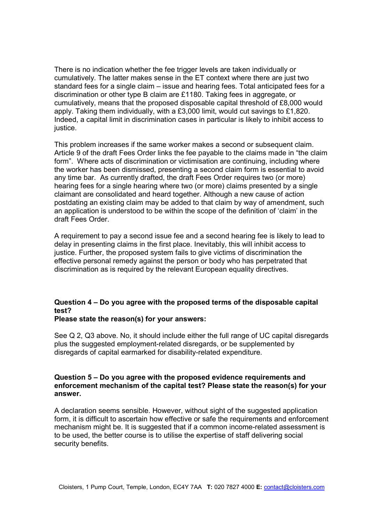There is no indication whether the fee trigger levels are taken individually or cumulatively. The latter makes sense in the ET context where there are just two standard fees for a single claim – issue and hearing fees. Total anticipated fees for a discrimination or other type B claim are £1180. Taking fees in aggregate, or cumulatively, means that the proposed disposable capital threshold of £8,000 would apply. Taking them individually, with a £3,000 limit, would cut savings to £1,820. Indeed, a capital limit in discrimination cases in particular is likely to inhibit access to justice.

This problem increases if the same worker makes a second or subsequent claim. Article 9 of the draft Fees Order links the fee payable to the claims made in "the claim form". Where acts of discrimination or victimisation are continuing, including where the worker has been dismissed, presenting a second claim form is essential to avoid any time bar. As currently drafted, the draft Fees Order requires two (or more) hearing fees for a single hearing where two (or more) claims presented by a single claimant are consolidated and heard together. Although a new cause of action postdating an existing claim may be added to that claim by way of amendment, such an application is understood to be within the scope of the definition of 'claim' in the draft Fees Order.

A requirement to pay a second issue fee and a second hearing fee is likely to lead to delay in presenting claims in the first place. Inevitably, this will inhibit access to justice. Further, the proposed system fails to give victims of discrimination the effective personal remedy against the person or body who has perpetrated that discrimination as is required by the relevant European equality directives.

# **Question 4 – Do you agree with the proposed terms of the disposable capital test?**

## **Please state the reason(s) for your answers:**

See Q 2, Q3 above. No, it should include either the full range of UC capital disregards plus the suggested employment-related disregards, or be supplemented by disregards of capital earmarked for disability-related expenditure.

## **Question 5 – Do you agree with the proposed evidence requirements and enforcement mechanism of the capital test? Please state the reason(s) for your answer.**

A declaration seems sensible. However, without sight of the suggested application form, it is difficult to ascertain how effective or safe the requirements and enforcement mechanism might be. It is suggested that if a common income-related assessment is to be used, the better course is to utilise the expertise of staff delivering social security benefits.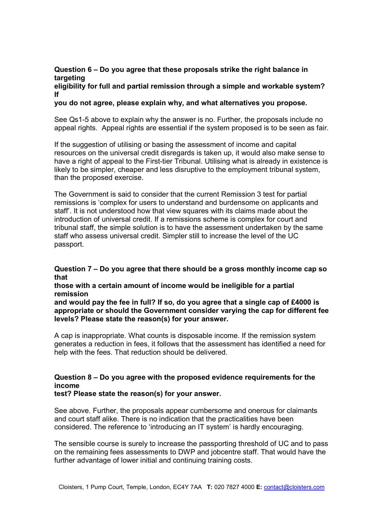## **Question 6 – Do you agree that these proposals strike the right balance in targeting**

**eligibility for full and partial remission through a simple and workable system? If** 

**you do not agree, please explain why, and what alternatives you propose.** 

See Qs1-5 above to explain why the answer is no. Further, the proposals include no appeal rights. Appeal rights are essential if the system proposed is to be seen as fair.

If the suggestion of utilising or basing the assessment of income and capital resources on the universal credit disregards is taken up, it would also make sense to have a right of appeal to the First-tier Tribunal. Utilising what is already in existence is likely to be simpler, cheaper and less disruptive to the employment tribunal system, than the proposed exercise.

The Government is said to consider that the current Remission 3 test for partial remissions is 'complex for users to understand and burdensome on applicants and staff'. It is not understood how that view squares with its claims made about the introduction of universal credit. If a remissions scheme is complex for court and tribunal staff, the simple solution is to have the assessment undertaken by the same staff who assess universal credit. Simpler still to increase the level of the UC passport.

## **Question 7 – Do you agree that there should be a gross monthly income cap so that**

**those with a certain amount of income would be ineligible for a partial remission** 

**and would pay the fee in full? If so, do you agree that a single cap of £4000 is appropriate or should the Government consider varying the cap for different fee levels? Please state the reason(s) for your answer.** 

A cap is inappropriate. What counts is disposable income. If the remission system generates a reduction in fees, it follows that the assessment has identified a need for help with the fees. That reduction should be delivered.

## **Question 8 – Do you agree with the proposed evidence requirements for the income**

**test? Please state the reason(s) for your answer.** 

See above. Further, the proposals appear cumbersome and onerous for claimants and court staff alike. There is no indication that the practicalities have been considered. The reference to 'introducing an IT system' is hardly encouraging.

The sensible course is surely to increase the passporting threshold of UC and to pass on the remaining fees assessments to DWP and jobcentre staff. That would have the further advantage of lower initial and continuing training costs.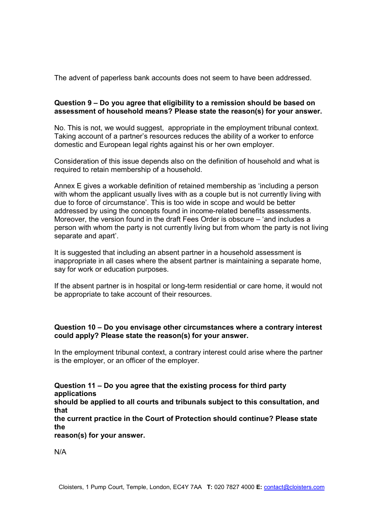The advent of paperless bank accounts does not seem to have been addressed.

## **Question 9 – Do you agree that eligibility to a remission should be based on assessment of household means? Please state the reason(s) for your answer.**

No. This is not, we would suggest, appropriate in the employment tribunal context. Taking account of a partner's resources reduces the ability of a worker to enforce domestic and European legal rights against his or her own employer.

Consideration of this issue depends also on the definition of household and what is required to retain membership of a household.

Annex E gives a workable definition of retained membership as 'including a person with whom the applicant usually lives with as a couple but is not currently living with due to force of circumstance'. This is too wide in scope and would be better addressed by using the concepts found in income-related benefits assessments. Moreover, the version found in the draft Fees Order is obscure – 'and includes a person with whom the party is not currently living but from whom the party is not living separate and apart'.

It is suggested that including an absent partner in a household assessment is inappropriate in all cases where the absent partner is maintaining a separate home, say for work or education purposes.

If the absent partner is in hospital or long-term residential or care home, it would not be appropriate to take account of their resources.

## **Question 10 – Do you envisage other circumstances where a contrary interest could apply? Please state the reason(s) for your answer.**

In the employment tribunal context, a contrary interest could arise where the partner is the employer, or an officer of the employer.

**Question 11 – Do you agree that the existing process for third party applications** 

**should be applied to all courts and tribunals subject to this consultation, and that** 

**the current practice in the Court of Protection should continue? Please state the** 

**reason(s) for your answer.** 

N/A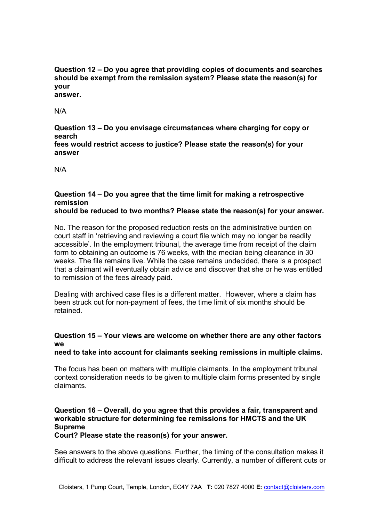**Question 12 – Do you agree that providing copies of documents and searches should be exempt from the remission system? Please state the reason(s) for your answer.** 

N/A

**Question 13 – Do you envisage circumstances where charging for copy or search fees would restrict access to justice? Please state the reason(s) for your answer** 

N/A

# **Question 14 – Do you agree that the time limit for making a retrospective remission**

## **should be reduced to two months? Please state the reason(s) for your answer.**

No. The reason for the proposed reduction rests on the administrative burden on court staff in 'retrieving and reviewing a court file which may no longer be readily accessible'. In the employment tribunal, the average time from receipt of the claim form to obtaining an outcome is 76 weeks, with the median being clearance in 30 weeks. The file remains live. While the case remains undecided, there is a prospect that a claimant will eventually obtain advice and discover that she or he was entitled to remission of the fees already paid.

Dealing with archived case files is a different matter. However, where a claim has been struck out for non-payment of fees, the time limit of six months should be retained.

## **Question 15 – Your views are welcome on whether there are any other factors we**

## **need to take into account for claimants seeking remissions in multiple claims.**

The focus has been on matters with multiple claimants. In the employment tribunal context consideration needs to be given to multiple claim forms presented by single claimants.

# **Question 16 – Overall, do you agree that this provides a fair, transparent and workable structure for determining fee remissions for HMCTS and the UK Supreme**

**Court? Please state the reason(s) for your answer.** 

See answers to the above questions. Further, the timing of the consultation makes it difficult to address the relevant issues clearly. Currently, a number of different cuts or